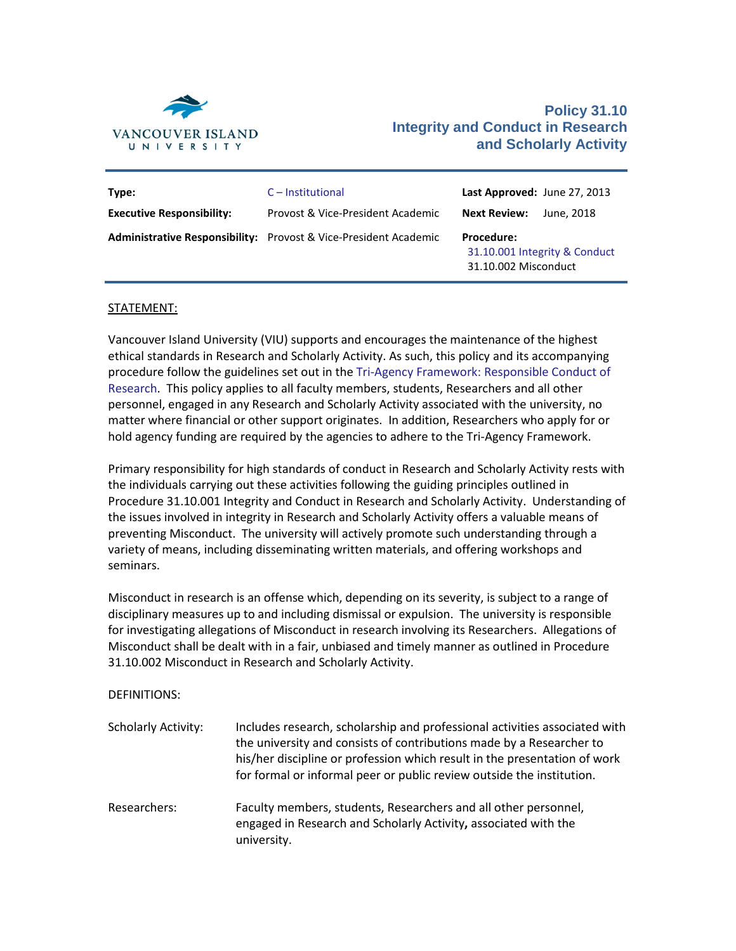

## **Policy 31.10 Integrity and Conduct in Research and Scholarly Activity**

| Type:                            | $C$ – Institutional                                              | Last Approved: June 27, 2013                                               |            |
|----------------------------------|------------------------------------------------------------------|----------------------------------------------------------------------------|------------|
| <b>Executive Responsibility:</b> | Provost & Vice-President Academic                                | <b>Next Review:</b>                                                        | June, 2018 |
|                                  | Administrative Responsibility: Provost & Vice-President Academic | <b>Procedure:</b><br>31.10.001 Integrity & Conduct<br>31.10.002 Misconduct |            |

## STATEMENT:

Vancouver Island University (VIU) supports and encourages the maintenance of the highest ethical standards in Research and Scholarly Activity. As such, this policy and its accompanying procedure follow the guidelines set out in th[e Tri-Agency Framework: Responsible Conduct of](http://www.rcr.ethics.gc.ca/eng/policy-politique/framework-cadre/)  [Research.](http://www.rcr.ethics.gc.ca/eng/policy-politique/framework-cadre/) This policy applies to all faculty members, students, Researchers and all other personnel, engaged in any Research and Scholarly Activity associated with the university, no matter where financial or other support originates. In addition, Researchers who apply for or hold agency funding are required by the agencies to adhere to the Tri-Agency Framework.

Primary responsibility for high standards of conduct in Research and Scholarly Activity rests with the individuals carrying out these activities following the guiding principles outlined in Procedure 31.10.001 Integrity and Conduct in Research and Scholarly Activity. Understanding of the issues involved in integrity in Research and Scholarly Activity offers a valuable means of preventing Misconduct. The university will actively promote such understanding through a variety of means, including disseminating written materials, and offering workshops and seminars.

Misconduct in research is an offense which, depending on its severity, is subject to a range of disciplinary measures up to and including dismissal or expulsion. The university is responsible for investigating allegations of Misconduct in research involving its Researchers. Allegations of Misconduct shall be dealt with in a fair, unbiased and timely manner as outlined in Procedure 31.10.002 Misconduct in Research and Scholarly Activity.

DEFINITIONS:

| <b>Scholarly Activity:</b> | Includes research, scholarship and professional activities associated with<br>the university and consists of contributions made by a Researcher to<br>his/her discipline or profession which result in the presentation of work<br>for formal or informal peer or public review outside the institution. |
|----------------------------|----------------------------------------------------------------------------------------------------------------------------------------------------------------------------------------------------------------------------------------------------------------------------------------------------------|
| Researchers:               | Faculty members, students, Researchers and all other personnel,<br>engaged in Research and Scholarly Activity, associated with the<br>university.                                                                                                                                                        |